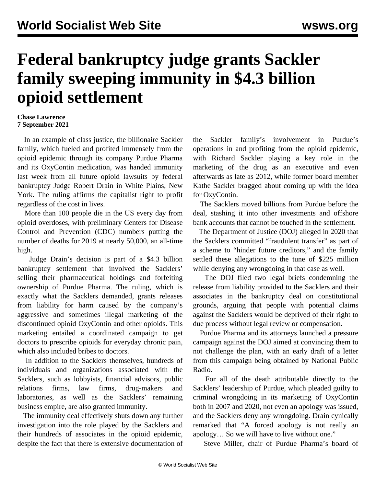## **Federal bankruptcy judge grants Sackler family sweeping immunity in \$4.3 billion opioid settlement**

## **Chase Lawrence 7 September 2021**

 In an example of class justice, the billionaire Sackler family, which fueled and profited immensely from the opioid epidemic through its company Purdue Pharma and its OxyContin medication, was handed immunity last week from all future opioid lawsuits by federal bankruptcy Judge Robert Drain in White Plains, New York. The ruling affirms the capitalist right to profit regardless of the cost in lives.

 More than 100 people die in the US every day from opioid overdoses, with preliminary Centers for Disease Control and Prevention (CDC) numbers putting the number of deaths for 2019 at nearly 50,000, an all-time high.

 Judge Drain's decision is part of a \$4.3 billion bankruptcy settlement that involved the Sacklers' selling their pharmaceutical holdings and forfeiting ownership of Purdue Pharma. The ruling, which is exactly what the Sacklers demanded, grants releases from liability for harm caused by the company's aggressive and sometimes illegal marketing of the discontinued opioid OxyContin and other opioids. This marketing entailed a coordinated campaign to get doctors to prescribe opioids for everyday chronic pain, which also included bribes to doctors.

 In addition to the Sacklers themselves, hundreds of individuals and organizations associated with the Sacklers, such as lobbyists, financial advisors, public relations firms, law firms, drug-makers and laboratories, as well as the Sacklers' remaining business empire, are also granted immunity.

 The immunity deal effectively shuts down any further investigation into the role played by the Sacklers and their hundreds of associates in the opioid epidemic, despite the fact that there is extensive documentation of the Sackler family's involvement in [Purdue's](/en/articles/2019/01/22/drug-j22.html) [operations](/en/articles/2019/01/22/drug-j22.html) in and profiting from the opioid epidemic, with Richard Sackler playing a key role in the marketing of the drug as an executive and even afterwards as late as 2012, while former board member Kathe Sackler bragged about coming up with the idea for OxyContin.

 The Sacklers moved billions from Purdue before the deal, stashing it into other investments and offshore bank accounts that cannot be touched in the settlement.

 The Department of Justice (DOJ) alleged in 2020 that the Sacklers committed "fraudulent transfer" as part of a scheme to "hinder future creditors," and the family settled these allegations to the tune of \$225 million while denying any wrongdoing in that case as well.

 The DOJ filed two legal briefs condemning the release from liability provided to the Sacklers and their associates in the bankruptcy deal on constitutional grounds, arguing that people with potential claims against the Sacklers would be deprived of their right to due process without legal review or compensation.

 Purdue Pharma and its attorneys launched a pressure campaign against the DOJ aimed at convincing them to not challenge the plan, with an early draft of a letter from this campaign being obtained by National Public Radio.

 For all of the death attributable directly to the Sacklers' leadership of Purdue, which pleaded guilty to criminal wrongdoing in its marketing of OxyContin both in 2007 and 2020, not even an apology was issued, and the Sacklers deny any wrongdoing. Drain cynically remarked that "A forced apology is not really an apology… So we will have to live without one."

Steve Miller, chair of Purdue Pharma's board of